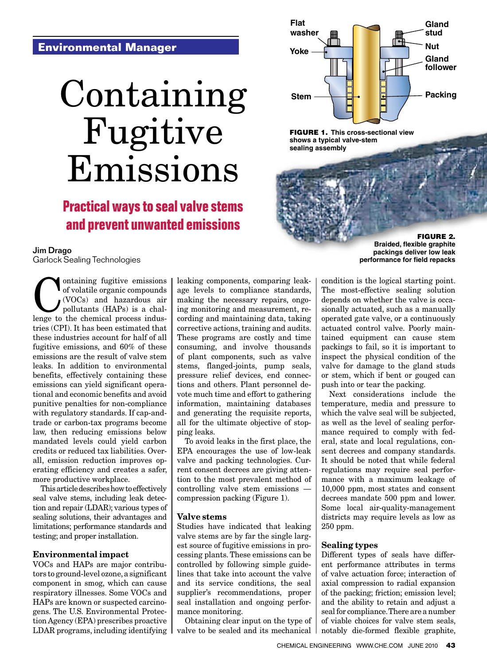### **Environmental Manager**

# [Containing](http://www.garlock.com/en/technical-information/technical-articles/?utm_source=ContainingFugitiveEmissions&utm_medium=pdf&utm_content=title&utm_campaign=std)  Fugitive Emissions

# **Practical ways to seal valve stems and prevent unwanted emissions**



FIGURE 1. **This cross-sectional view shows a typical valve-stem sealing assembly**

> [FIGURE 2.](http://www.garlock.com/en/technical-information/technical-articles/?utm_source=ContainingFugitiveEmissions&utm_medium=pdf&utm_content=pic&utm_campaign=std) **Braided, flexible graphite packings deliver low leak performance for field repacks**

Jim Drago

[Garlock Sealing Technologies](http://www.garlock.com/en/?utm_source=ContainingFugitiveEmissions&utm_medium=pdf&utm_content=logo&utm_campaign=std)

ontaining fugitive emissions<br>of volatile organic compounds<br>(VOCs) and hazardous air<br>pollutants (HAPs) is a chal-<br>lenge to the chemical process indusof volatile organic compounds (VOCs) and hazardous air pollutants (HAPs) is a challenge to the chemical process industries (CPI). It has been estimated that these industries account for half of all fugitive emissions, and 60% of these emissions are the result of valve stem leaks. In addition to environmental benefits, effectively containing these emissions can yield significant operational and economic benefits and avoid punitive penalties for non-compliance with regulatory standards. If cap-andtrade or carbon-tax programs become law, then reducing emissions below mandated levels could yield carbon credits or reduced tax liabilities. Overall, emission reduction improves operating efficiency and creates a safer, more productive workplace.

This article describes how to effectively seal valve stems, including leak detection and repair (LDAR); various types of sealing solutions, their advantages and limitations; performance standards and testing; and proper installation.

#### Environmental impact

VOCs and HAPs are major contributors to ground-level ozone, a significant component in smog, which can cause respiratory illnesses. Some VOCs and HAPs are known or suspected carcinogens. The U.S. Environmental Protection Agency (EPA) prescribes proactive LDAR programs, including identifying leaking components, comparing leakage levels to compliance standards, making the necessary repairs, ongoing monitoring and measurement, recording and maintaining data, taking corrective actions, training and audits. These programs are costly and time consuming, and involve thousands of plant components, such as valve stems, flanged-joints, pump seals, pressure relief devices, end connections and others. Plant personnel devote much time and effort to gathering information, maintaining databases and generating the requisite reports, all for the ultimate objective of stopping leaks.

To avoid leaks in the first place, the EPA encourages the use of low-leak valve and packing technologies. Current consent decrees are giving attention to the most prevalent method of controlling valve stem emissions compression packing (Figure 1).

#### Valve stems

Studies have indicated that leaking valve stems are by far the single largest source of fugitive emissions in processing plants. These emissions can be controlled by following simple guidelines that take into account the valve and its service conditions, the seal supplier's recommendations, proper seal installation and ongoing performance monitoring.

Obtaining clear input on the type of valve to be sealed and its mechanical

condition is the logical starting point. The most-effective sealing solution depends on whether the valve is occasionally actuated, such as a manually operated gate valve, or a continuously actuated control valve. Poorly maintained equipment can cause stem packings to fail, so it is important to inspect the physical condition of the valve for damage to the gland studs or stem, which if bent or gouged can push into or tear the packing.

Next considerations include the temperature, media and pressure to which the valve seal will be subjected, as well as the level of sealing performance required to comply with federal, state and local regulations, consent decrees and company standards. It should be noted that while federal regulations may require seal performance with a maximum leakage of 10,000 ppm, most states and consent decrees mandate 500 ppm and lower. Some local air-quality-management districts may require levels as low as 250 ppm.

#### Sealing types

Different types of seals have different performance attributes in terms of valve actuation force; interaction of axial compression to radial expansion of the packing; friction; emission level; and the ability to retain and adjust a seal for compliance. There are a number of viable choices for valve stem seals, notably die-formed flexible graphite,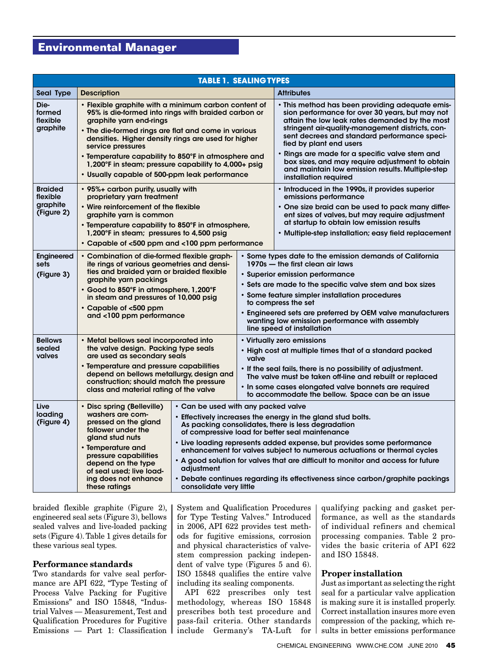## **Environmental Manager**

| <b>TABLE 1. SEALING TYPES</b>                        |                                                                                                                                                                                                                                                                                           |                                                                                                                                                                                                                                                                                                                                                                                                                                                                                                                                                                                |                                                                                                                                                                                                                                                                                                                                       |                                                                                                                                                                                                                                                                                                                                                                                                                                                                       |  |  |
|------------------------------------------------------|-------------------------------------------------------------------------------------------------------------------------------------------------------------------------------------------------------------------------------------------------------------------------------------------|--------------------------------------------------------------------------------------------------------------------------------------------------------------------------------------------------------------------------------------------------------------------------------------------------------------------------------------------------------------------------------------------------------------------------------------------------------------------------------------------------------------------------------------------------------------------------------|---------------------------------------------------------------------------------------------------------------------------------------------------------------------------------------------------------------------------------------------------------------------------------------------------------------------------------------|-----------------------------------------------------------------------------------------------------------------------------------------------------------------------------------------------------------------------------------------------------------------------------------------------------------------------------------------------------------------------------------------------------------------------------------------------------------------------|--|--|
| Seal Type                                            | <b>Description</b>                                                                                                                                                                                                                                                                        |                                                                                                                                                                                                                                                                                                                                                                                                                                                                                                                                                                                |                                                                                                                                                                                                                                                                                                                                       | <b>Attributes</b>                                                                                                                                                                                                                                                                                                                                                                                                                                                     |  |  |
| Die-<br>formed<br>flexible<br>graphite               | graphite yarn end-rings<br>service pressures<br>• Usually capable of 500-ppm leak performance                                                                                                                                                                                             | • Flexible graphite with a minimum carbon content of<br>95% is die-formed into rings with braided carbon or<br>• The die-formed rings are flat and come in various<br>densities. Higher density rings are used for higher<br>• Temperature capability to 850°F in atmosphere and<br>1,200°F in steam; pressure capability to 4,000+ psig                                                                                                                                                                                                                                       |                                                                                                                                                                                                                                                                                                                                       | • This method has been providing adequate emis-<br>sion performance for over 30 years, but may not<br>attain the low leak rates demanded by the most<br>stringent air-quality-management districts, con-<br>sent decrees and standard performance speci-<br>fied by plant end users<br>· Rings are made for a specific valve stem and<br>box sizes, and may require adjustment to obtain<br>and maintain low emission results. Multiple-step<br>installation required |  |  |
| <b>Braided</b><br>flexible<br>graphite<br>(Figure 2) | • 95%+ carbon purity, usually with<br>proprietary yarn treatment<br>• Wire reinforcement of the flexible<br>graphite yarn is common<br>1,200°F in steam; pressures to 4,500 psig                                                                                                          | • Temperature capability to 850°F in atmosphere,<br>• Capable of <500 ppm and <100 ppm performance<br>ite rings of various geometries and densi-                                                                                                                                                                                                                                                                                                                                                                                                                               |                                                                                                                                                                                                                                                                                                                                       | • Introduced in the 1990s, it provides superior<br>emissions performance<br>• One size braid can be used to pack many differ-<br>ent sizes of valves, but may require adjustment<br>at startup to obtain low emission results<br>• Multiple-step installation; easy field replacement                                                                                                                                                                                 |  |  |
| Engineered<br>sets<br>(Figure 3)                     | • Combination of die-formed flexible graph-<br>ties and braided yarn or braided flexible<br>graphite yarn packings<br>• Good to 850°F in atmosphere, 1,200°F<br>in steam and pressures of 10,000 psig<br>• Capable of <500 ppm<br>and <100 ppm performance                                |                                                                                                                                                                                                                                                                                                                                                                                                                                                                                                                                                                                |                                                                                                                                                                                                                                                                                                                                       | • Some types date to the emission demands of California<br>1970s – the first clean air laws<br>• Superior emission performance<br>• Sets are made to the specific valve stem and box sizes<br>• Some feature simpler installation procedures<br>to compress the set<br>• Engineered sets are preferred by OEM valve manufacturers<br>wanting low emission performance with assembly<br>line speed of installation                                                     |  |  |
| <b>Bellows</b><br>sealed<br>valves                   | • Metal bellows seal incorporated into<br>the valve design. Packing type seals<br>are used as secondary seals<br>• Temperature and pressure capabilities<br>depend on bellows metallurgy, design and<br>construction; should match the pressure<br>class and material rating of the valve |                                                                                                                                                                                                                                                                                                                                                                                                                                                                                                                                                                                | • Virtually zero emissions<br>• High cost at multiple times that of a standard packed<br>valve<br>• If the seal fails, there is no possibility of adjustment.<br>The valve must be taken off-line and rebuilt or replaced<br>. In some cases elongated valve bonnets are required<br>to accommodate the bellow. Space can be an issue |                                                                                                                                                                                                                                                                                                                                                                                                                                                                       |  |  |
| Live<br>loading<br>(Figure 4)                        | • Disc spring (Belleville)<br>washers are com-<br>pressed on the gland<br>follower under the<br>gland stud nuts<br>• Temperature and<br>pressure capabilities<br>depend on the type<br>of seal used; live load-<br>ing does not enhance<br>these ratings                                  | • Can be used with any packed valve<br>• Effectively increases the energy in the gland stud bolts.<br>As packing consolidates, there is less degradation<br>of compressive load for better seal maintenance<br>• Live loading represents added expense, but provides some performance<br>enhancement for valves subject to numerous actuations or thermal cycles<br>• A good solution for valves that are difficult to monitor and access for future<br>adiustment<br>• Debate continues regarding its effectiveness since carbon/graphite packings<br>consolidate very little |                                                                                                                                                                                                                                                                                                                                       |                                                                                                                                                                                                                                                                                                                                                                                                                                                                       |  |  |

braided flexible graphite (Figure 2), engineered seal sets (Figure 3), bellows sealed valves and live-loaded packing sets (Figure 4). Table 1 gives details for these various seal types.

#### Performance standards

Two standards for valve seal performance are API 622, "Type Testing of Process Valve Packing for Fugitive Emissions" and ISO 15848, "Industrial Valves — Measurement, Test and Qualification Procedures for Fugitive Emissions — Part 1: Classification System and Qualification Procedures for Type Testing Valves." Introduced in 2006, API 622 provides test methods for fugitive emissions, corrosion and physical characteristics of valvestem compression packing independent of valve type (Figures 5 and 6). ISO 15848 qualifies the entire valve including its sealing components.

API 622 prescribes only test methodology, whereas ISO 15848 prescribes both test procedure and pass-fail criteria. Other standards include Germany's TA-Luft for qualifying packing and gasket performance, as well as the standards of individual refiners and chemical processing companies. Table 2 provides the basic criteria of API 622 and ISO 15848.

#### Proper installation

Just as important as selecting the right seal for a particular valve application is making sure it is installed properly. Correct installation insures more even compression of the packing, which results in better emissions performance